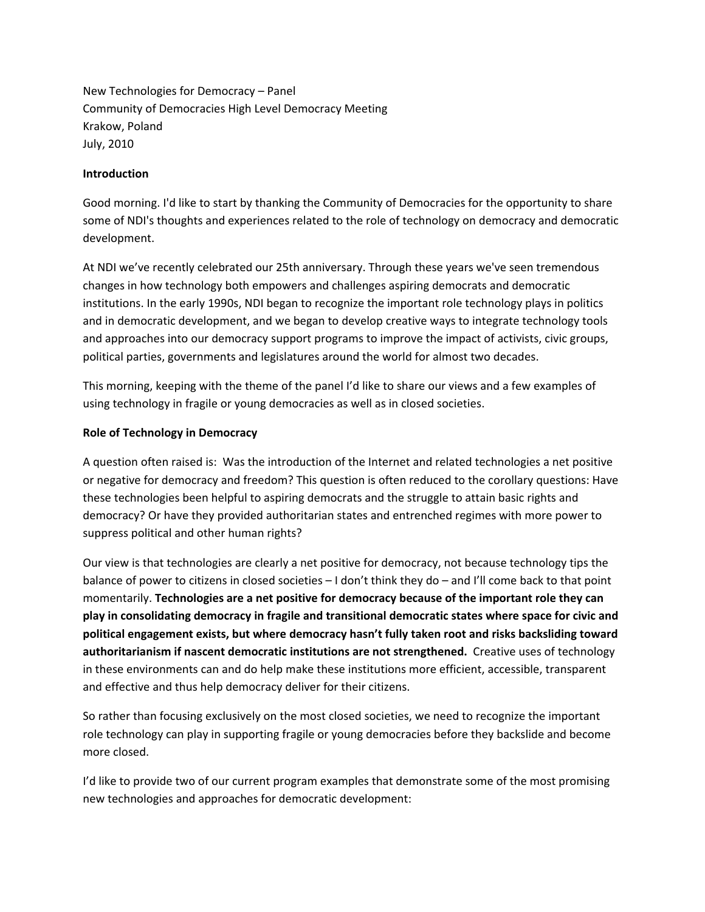New Technologies for Democracy – Panel Community of Democracies High Level Democracy Meeting Krakow, Poland July, 2010

## **Introduction**

Good morning. I'd like to start by thanking the Community of Democracies for the opportunity to share some of NDI's thoughts and experiences related to the role of technology on democracy and democratic development.

At NDI we've recently celebrated our 25th anniversary. Through these years we've seen tremendous changes in how technology both empowers and challenges aspiring democrats and democratic institutions. In the early 1990s, NDI began to recognize the important role technology plays in politics and in democratic development, and we began to develop creative ways to integrate technology tools and approaches into our democracy support programs to improve the impact of activists, civic groups, political parties, governments and legislatures around the world for almost two decades.

This morning, keeping with the theme of the panel I'd like to share our views and a few examples of using technology in fragile or young democracies as well as in closed societies.

### **Role of Technology in Democracy**

A question often raised is: Was the introduction of the Internet and related technologies a net positive or negative for democracy and freedom? This question is often reduced to the corollary questions: Have these technologies been helpful to aspiring democrats and the struggle to attain basic rights and democracy? Or have they provided authoritarian states and entrenched regimes with more power to suppress political and other human rights?

Our view is that technologies are clearly a net positive for democracy, not because technology tips the balance of power to citizens in closed societies – I don't think they do – and I'll come back to that point momentarily. **Technologies are a net positive for democracy because of the important role they can play in consolidating democracy in fragile and transitional democratic states where space for civic and political engagement exists, but where democracy hasn't fully taken root and risks backsliding toward authoritarianism if nascent democratic institutions are not strengthened.** Creative uses of technology in these environments can and do help make these institutions more efficient, accessible, transparent and effective and thus help democracy deliver for their citizens.

So rather than focusing exclusively on the most closed societies, we need to recognize the important role technology can play in supporting fragile or young democracies before they backslide and become more closed.

I'd like to provide two of our current program examples that demonstrate some of the most promising new technologies and approaches for democratic development: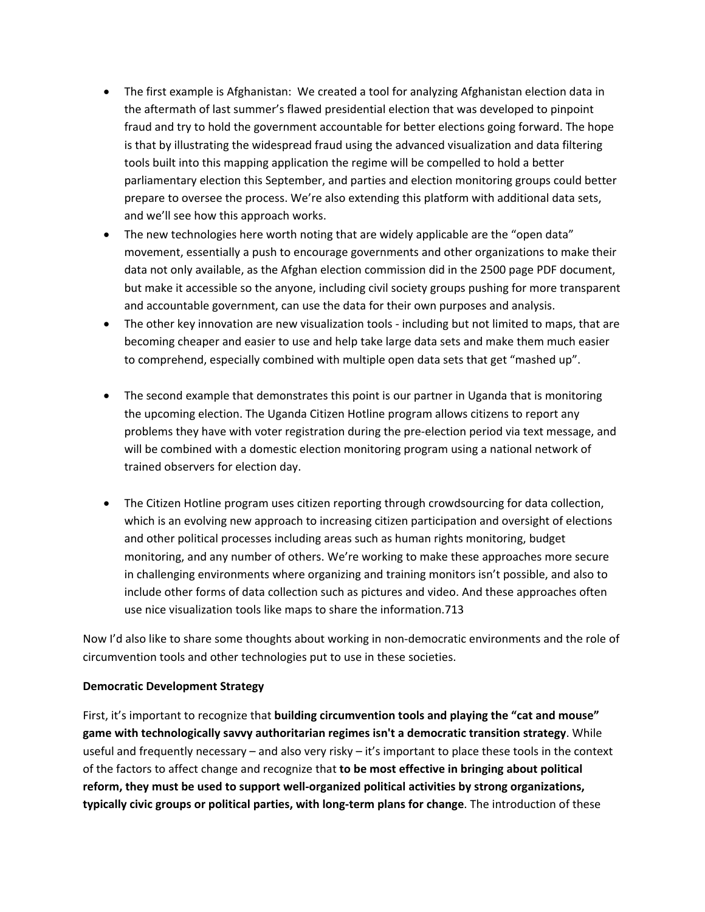- The first example is Afghanistan: We created a tool for analyzing Afghanistan election data in the aftermath of last summer's flawed presidential election that was developed to pinpoint fraud and try to hold the government accountable for better elections going forward. The hope is that by illustrating the widespread fraud using the advanced visualization and data filtering tools built into this mapping application the regime will be compelled to hold a better parliamentary election this September, and parties and election monitoring groups could better prepare to oversee the process. We're also extending this platform with additional data sets, and we'll see how this approach works.
- The new technologies here worth noting that are widely applicable are the "open data" movement, essentially a push to encourage governments and other organizations to make their data not only available, as the Afghan election commission did in the 2500 page PDF document, but make it accessible so the anyone, including civil society groups pushing for more transparent and accountable government, can use the data for their own purposes and analysis.
- The other key innovation are new visualization tools including but not limited to maps, that are becoming cheaper and easier to use and help take large data sets and make them much easier to comprehend, especially combined with multiple open data sets that get "mashed up".
- The second example that demonstrates this point is our partner in Uganda that is monitoring the upcoming election. The Uganda Citizen Hotline program allows citizens to report any problems they have with voter registration during the pre‐election period via text message, and will be combined with a domestic election monitoring program using a national network of trained observers for election day.
- The Citizen Hotline program uses citizen reporting through crowdsourcing for data collection, which is an evolving new approach to increasing citizen participation and oversight of elections and other political processes including areas such as human rights monitoring, budget monitoring, and any number of others. We're working to make these approaches more secure in challenging environments where organizing and training monitors isn't possible, and also to include other forms of data collection such as pictures and video. And these approaches often use nice visualization tools like maps to share the information.713

Now I'd also like to share some thoughts about working in non-democratic environments and the role of circumvention tools and other technologies put to use in these societies.

## **Democratic Development Strategy**

First, it's important to recognize that **building circumvention tools and playing the "cat and mouse" game with technologically savvy authoritarian regimes isn't a democratic transition strategy**. While useful and frequently necessary – and also very risky – it's important to place these tools in the context of the factors to affect change and recognize that **to be most effective in bringing about political reform, they must be used to support well‐organized political activities by strong organizations, typically civic groups or political parties, with long‐term plans for change**. The introduction of these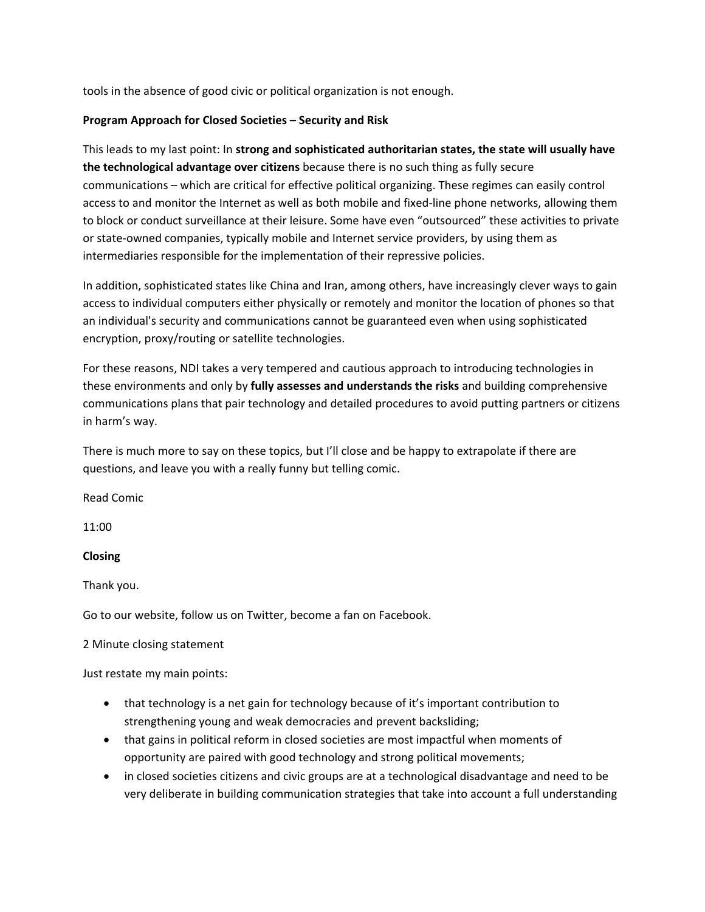tools in the absence of good civic or political organization is not enough.

# **Program Approach for Closed Societies – Security and Risk**

This leads to my last point: In **strong and sophisticated authoritarian states, the state will usually have the technological advantage over citizens** because there is no such thing as fully secure communications – which are critical for effective political organizing. These regimes can easily control access to and monitor the Internet as well as both mobile and fixed-line phone networks, allowing them to block or conduct surveillance at their leisure. Some have even "outsourced" these activities to private or state‐owned companies, typically mobile and Internet service providers, by using them as intermediaries responsible for the implementation of their repressive policies.

In addition, sophisticated states like China and Iran, among others, have increasingly clever ways to gain access to individual computers either physically or remotely and monitor the location of phones so that an individual's security and communications cannot be guaranteed even when using sophisticated encryption, proxy/routing or satellite technologies.

For these reasons, NDI takes a very tempered and cautious approach to introducing technologies in these environments and only by **fully assesses and understands the risks** and building comprehensive communications plans that pair technology and detailed procedures to avoid putting partners or citizens in harm's way.

There is much more to say on these topics, but I'll close and be happy to extrapolate if there are questions, and leave you with a really funny but telling comic.

Read Comic

11:00

## **Closing**

Thank you.

Go to our website, follow us on Twitter, become a fan on Facebook.

## 2 Minute closing statement

Just restate my main points:

- that technology is a net gain for technology because of it's important contribution to strengthening young and weak democracies and prevent backsliding;
- that gains in political reform in closed societies are most impactful when moments of opportunity are paired with good technology and strong political movements;
- in closed societies citizens and civic groups are at a technological disadvantage and need to be very deliberate in building communication strategies that take into account a full understanding